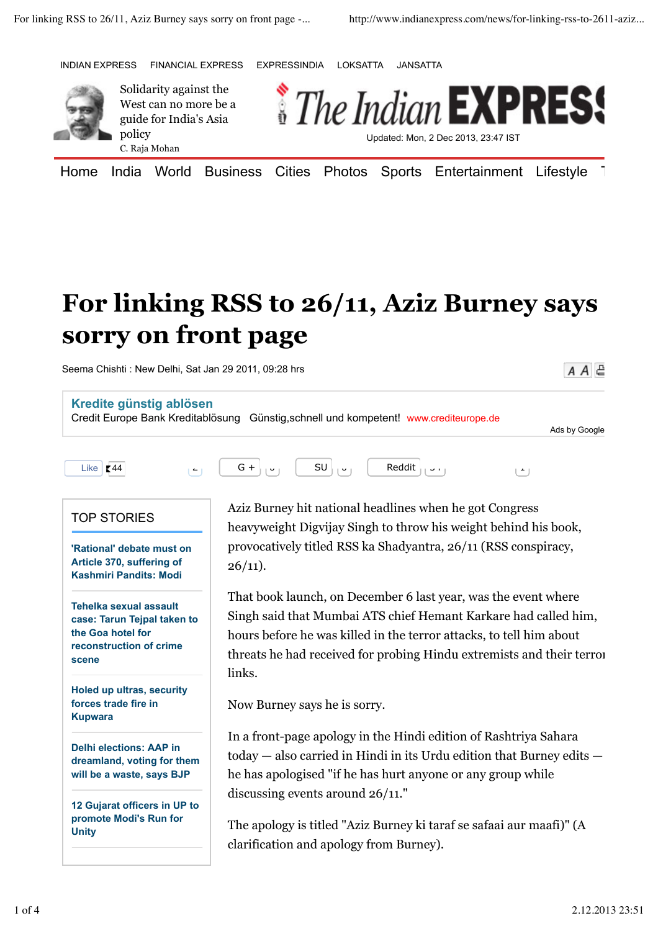INDIAN EXPRESS FINANCIAL EXPRESS EXPRESSINDIA LOKSATTA JANSATTA



Solidarity against the West can no more be a guide for India's Asia policy C. Raja Mohan



Home India World Business Cities Photos Sports Entertainment Lifestyle 1

 $A \overline{A}$ 

## **For linking RSS to 26/11, Aziz Burney says sorry on front page**

Seema Chishti : New Delhi, Sat Jan 29 2011, 09:28 hrs

TOP STORIES **'Rational' debate must on Article 370, suffering of Kashmiri Pandits: Modi Tehelka sexual assault case: Tarun Tejpal taken to the Goa hotel for reconstruction of crime scene Holed up ultras, security forces trade fire in Kupwara Delhi elections: AAP in dreamland, voting for them will be a waste, says BJP 12 Gujarat officers in UP to promote Modi's Run for Unity** Aziz Burney hit national headlines when he got Congress heavyweight Digvijay Singh to throw his weight behind his book, provocatively titled RSS ka Shadyantra, 26/11 (RSS conspiracy,  $26/11$ ). That book launch, on December 6 last year, was the event where Singh said that Mumbai ATS chief Hemant Karkare had called him, hours before he was killed in the terror attacks, to tell him about threats he had received for probing Hindu extremists and their terror links. Now Burney says he is sorry. In a front-page apology in the Hindi edition of Rashtriya Sahara today — also carried in Hindi in its Urdu edition that Burney edits he has apologised "if he has hurt anyone or any group while discussing events around 26/11." The apology is titled "Aziz Burney ki taraf se safaai aur maafi)" (A clarification and apology from Burney). **Kredite günstig ablösen** Credit Europe Bank Kreditablösung Günstig,schnell und kompetent! www.crediteurope.de Ads by Google  $Like \begin{array}{ccc} 2 & 2 & 3 \end{array}$   $\begin{array}{ccc} - & 3 & 44 \end{array}$   $\begin{array}{ccc} - & 2 & 3 \end{array}$   $\begin{array}{ccc} - & 3 & 5 \end{array}$   $\begin{array}{ccc} - & 3 & 5 \end{array}$   $\begin{array}{ccc} - & 3 & 5 \end{array}$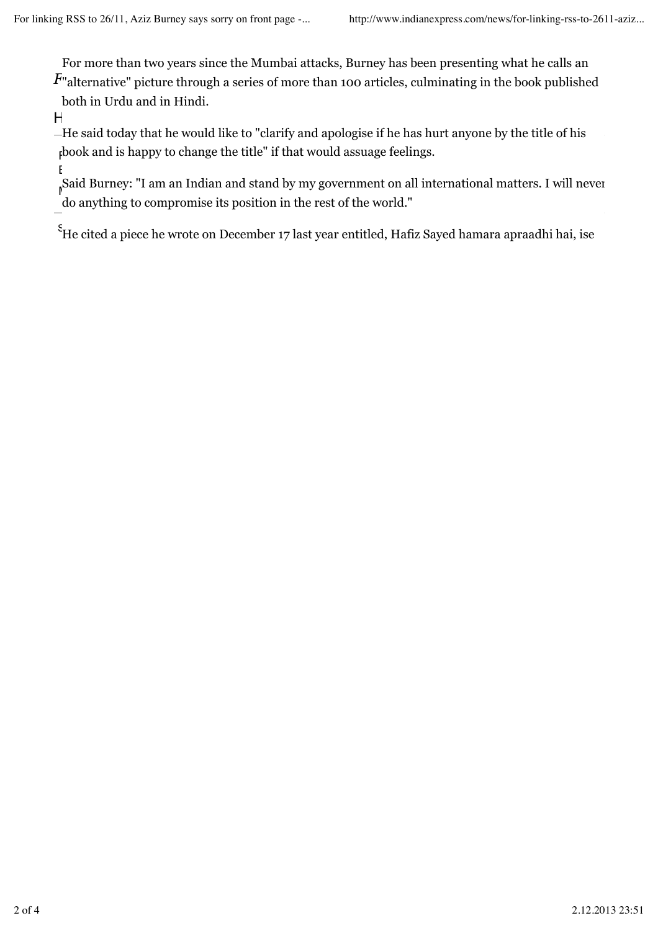For more than two years since the Mumbai attacks, Burney has been presenting what he calls an

 $F$ "alternative" picture through a series of more than 100 articles, culminating in the book published both in Urdu and in Hindi.

HOT TOPICS

 $\beta$ pook and is happy to change the title" if that would assuage feelings. He said today that he would like to "clarify and apologise if he has hurt anyone by the title of his

Big Littl

<sub>I</sub>Said Burney: "I am an Indian and stand by my government on all international matters. I will never do anything to compromise its position in the rest of the world."

<sup>ç</sup><br>He cited a piece he wrote on December 17 last year entitled, Hafiz Sayed hamara apraadhi hai, ise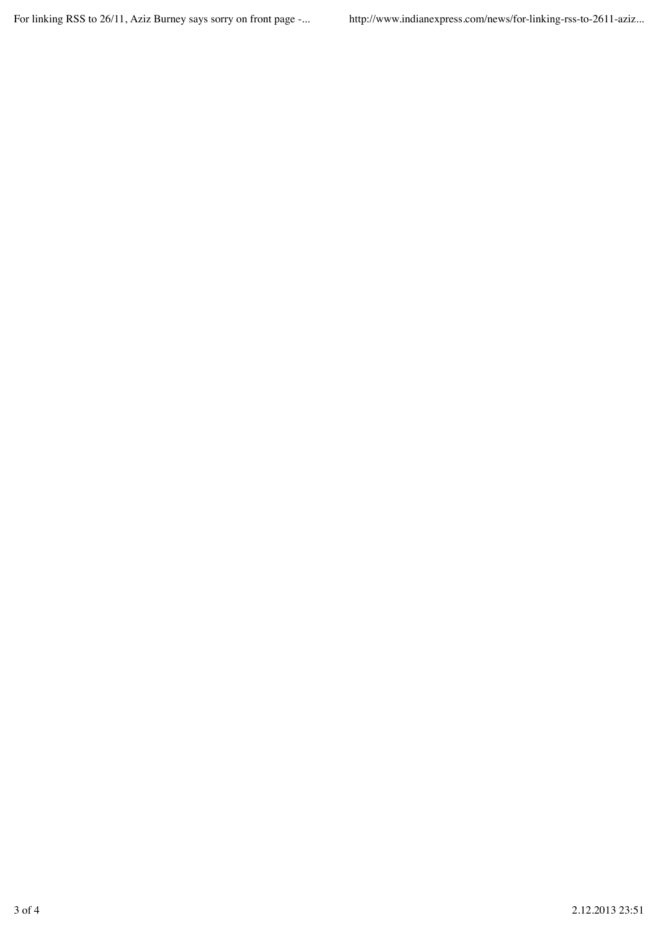For linking RSS to 26/11, Aziz Burney says sorry on front page -... http://www.indianexpress.com/news/for-linking-rss-to-2611-aziz...